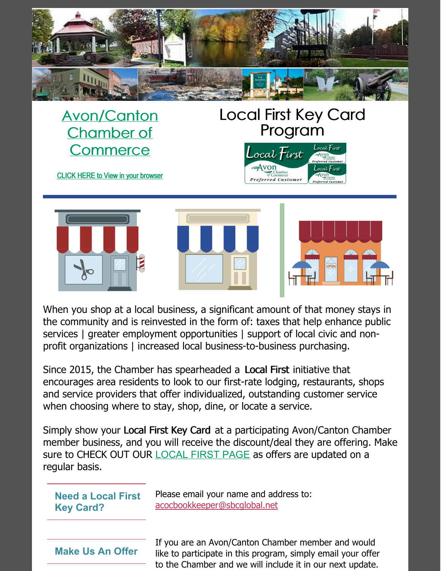

[Avon/Canton](http://www.avonchamber.com/index.asp) Chamber of **Commerce** 

### Local First Key Card Program

.ocal  $\mathcal{F}$ irst

of Commerce<br>Preferred Customer

 $A$ von









When you shop at a local business, a significant amount of that money stays in the community and is reinvested in the form of: taxes that help enhance public services | greater employment opportunities | support of local civic and nonprofit organizations | increased local business-to-business purchasing.

Since 2015, the Chamber has spearheaded a Local First initiative that encourages area residents to look to our first-rate lodging, restaurants, shops and service providers that offer individualized, outstanding customer service when choosing where to stay, shop, dine, or locate a service.

Simply show your Local First Key Card at a participating Avon/Canton Chamber member business, and you will receive the discount/deal they are offering. Make sure to CHECK OUT OUR [LOCAL](http://www.avonchamber.com/member_rewards.asp) FIRST PAGE as offers are updated on a regular basis.

**Need a Local First Key Card?**

Please email your name and address to: [acocbookkeeper@sbcglobal.net](mailto:acocbookkeeper@sbcglobal.net)

**Make Us An Offer**

If you are an Avon/Canton Chamber member and would like to participate in this program, simply email your offer to the Chamber and we will include it in our next update.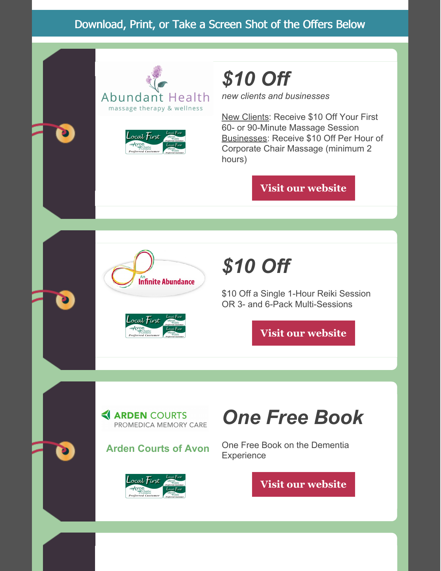#### Download, Print, or Take a Screen Shot of the Offers Below





### *\$10 Off*

*new clients and businesses*

New Clients: Receive \$10 Off Your First 60- or 90-Minute Massage Session Businesses: Receive \$10 Off Per Hour of Corporate Chair Massage (minimum 2 hours)

**Visit our [website](https://www.abundanthealthct.com/)**





### *\$10 Off*

\$10 Off a Single 1-Hour Reiki Session OR 3- and 6-Pack Multi-Sessions

**Visit our [website](http://aninfiniteabundancellc.com/)**

**ARDEN COURTS** PROMEDICA MEMORY CARE

#### **Arden Courts of Avon**



### *One Free Book*

One Free Book on the Dementia **Experience**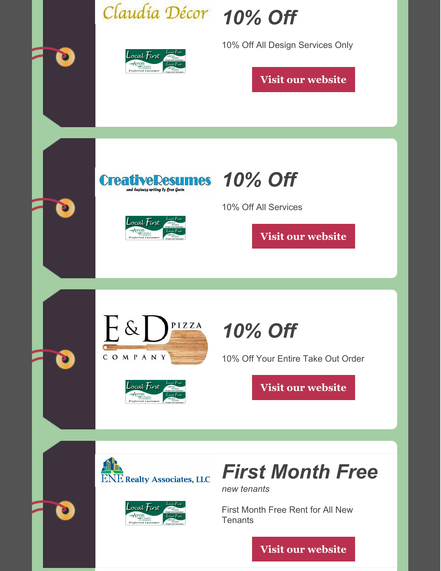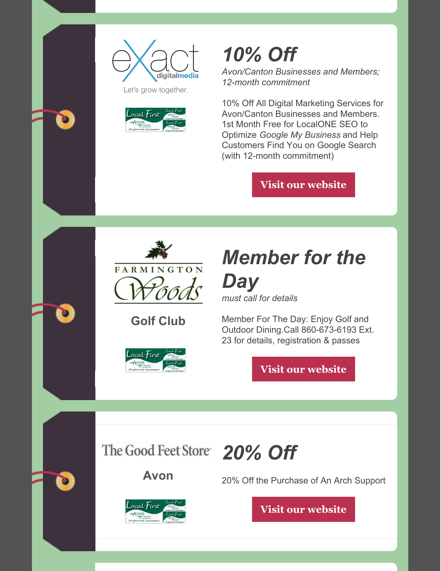



# *10% Off*

*Avon/Canton Businesses and Members; 12-month commitment*

10% Off All Digital Marketing Services for Avon/Canton Businesses and Members. 1st Month Free for LocalONE SEO to Optimize *Google My Business* and Help Customers Find You on Google Search (with 12-month commitment)

**Visit our [website](https://exactdigitalmedia.com/)**



#### **Golf Club**



# *Member for the Day*

*must call for details*

Member For The Day: Enjoy Golf and Outdoor Dining.Call 860-673-6193 Ext. 23 for details, registration & passes

**Visit our [website](https://www.farmingtonwoods.com/GOLF)**

*20% Off*



**Avon**





20% Off the Purchase of An Arch Support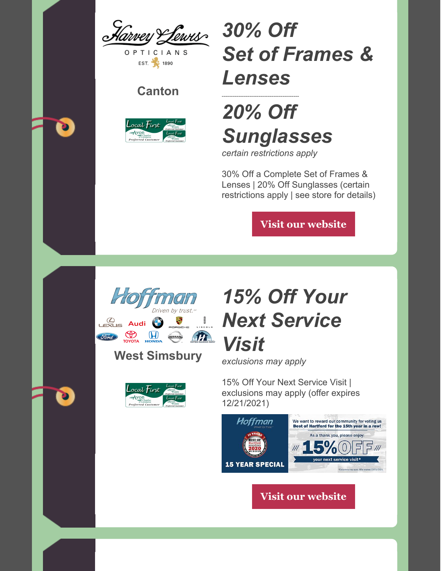Harvey Lewis

**TICIANS** EST. 1890

#### **Canton**



### *30% Off Set of Frames & Lenses*

### ------------------------------------------ *20% Off Sunglasses*

*certain restrictions apply*

30% Off a Complete Set of Frames & Lenses | 20% Off Sunglasses (certain restrictions apply | see store for details)

**Visit our [website](https://www.harveyandlewis.com/)**



**West Simsbury**



### *15% Off Your Next Service Visit*

*exclusions may apply*

15% Off Your Next Service Visit | exclusions may apply (offer expires 12/21/2021)

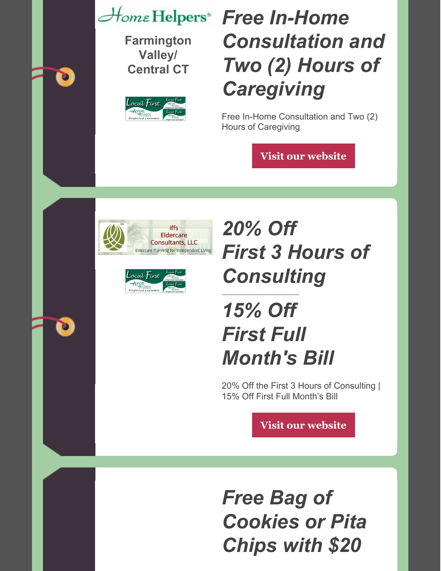**Farmington Valley/ Central CT**

D

D



### *Free In-Home Consultation and Two (2) Hours of Caregiving*

Free In-Home Consultation and Two (2) Hours of Caregiving

**Visit our [website](https://www.homehelpershomecare.com/farmington/)**





## *20% Off First 3 Hours of Consulting*

## *15% Off First Full Month's Bill*

------------------------------------------

20% Off the First 3 Hours of Consulting | 15% Off First Full Month's Bill

**Visit our [website](https://iffseldercareconsultants.com/)**

*Free Bag of Cookies or Pita Chips with \$20*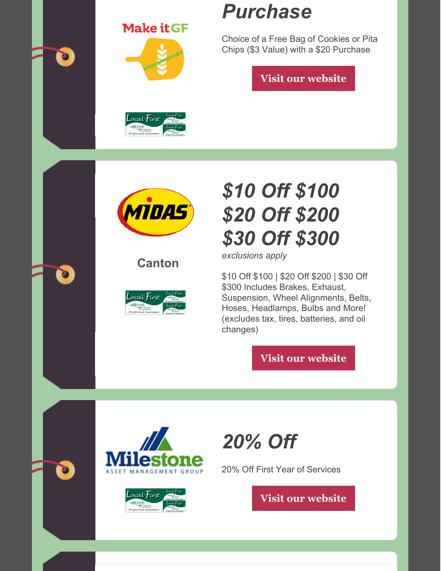**Make it GF** 



### *Purchase*

Choice of a Free Bag of Cookies or Pita Chips (\$3 Value) with a \$20 Purchase

**Visit our [website](http://www.makeitgf.com/)**





**Canton**



## *\$10 Off \$100 \$20 Off \$200 \$30 Off \$300*

*exclusions apply*

\$10 Off \$100 | \$20 Off \$200 | \$30 Off \$300 Includes Brakes, Exhaust, Suspension, Wheel Alignments, Belts, Hoses, Headlamps, Bulbs and More! (excludes tax, tires, batteries, and oil changes)

**Visit our [website](https://www.midas.com/hartford/store.aspx?shopnum=4289&dmanum=384)**





*20% Off*

20% Off First Year of Services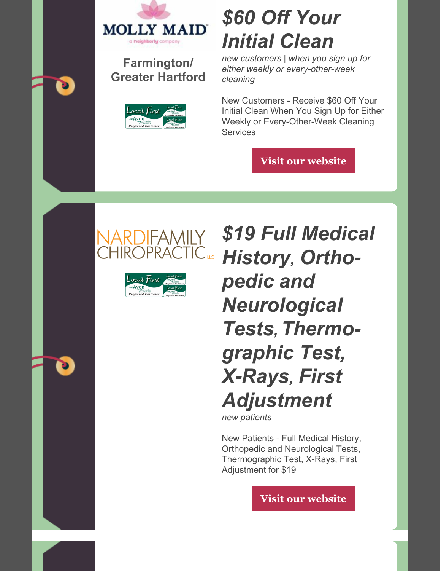

#### **Farmington/ Greater Hartford**



### *\$60 Off Your Initial Clean*

*new customers | when you sign up for either weekly or every-other-week cleaning*

New Customers - Receive \$60 Off Your Initial Clean When You Sign Up for Either Weekly or Every-Other-Week Cleaning **Services** 

**Visit our [website](https://www.mollymaid.com/farmington-greater-hartford/)**





*\$19 Full Medical History, Orthopedic and Neurological Tests, Thermographic Test, X-Rays, First Adjustment*

*new patients*

New Patients - Full Medical History, Orthopedic and Neurological Tests, Thermographic Test, X-Rays, First Adjustment for \$19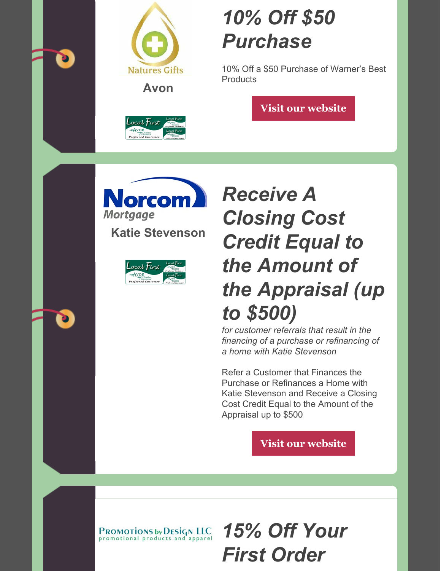



**Avon**



### *10% Off \$50 Purchase*

10% Off a \$50 Purchase of Warner's Best **Products** 

**Visit our [website](https://naturesgifts-usa.com/)**

orcom **Mortgage** 

**Katie Stevenson**



### *Receive A Closing Cost Credit Equal to the Amount of the Appraisal (up to \$500)*

*for customer referrals that result in the financing of a purchase or refinancing of a home with Katie Stevenson*

Refer a Customer that Finances the Purchase or Refinances a Home with Katie Stevenson and Receive a Closing Cost Credit Equal to the Amount of the Appraisal up to \$500

**Visit our [website](https://katiestevenson.norcommortgage.com/)**

**PROMOTIONS by DESIGN LLC**<br>promotional products and apparel

*15% Off Your First Order*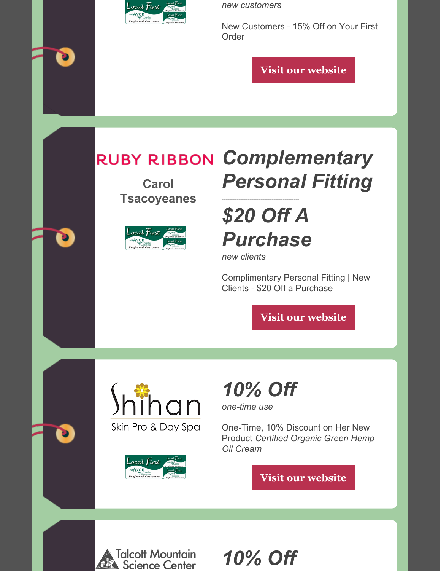

*new customers*

New Customers - 15% Off on Your First Order

**Visit our [website](https://www.promotionsbydesign.net/)**

### *Complementary*

**Carol Tsacoyeanes**



### *Personal Fitting* ------------------------------------------

*\$20 Off A Purchase*

*new clients*

Complimentary Personal Fitting | New Clients - \$20 Off a Purchase

**Visit our [website](https://www.rubyribbon.com/pws/carolt/tabs/corphome)**





# *10% Off*

*one-time use*

One-Time, 10% Discount on Her New Product *Certified Organic Green Hemp Oil Cream*

**Visit our [website](https://www.shihanskinpro.com/)**



*10% Off*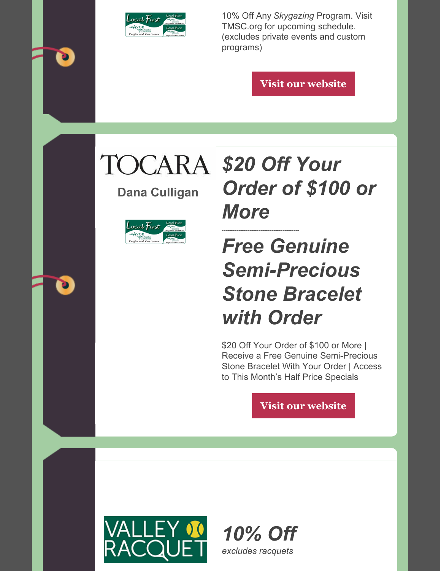

10% Off Any *Skygazing* Program. Visit TMSC.org for upcoming schedule. (excludes private events and custom programs)

**Visit our [website](https://www.tmsc.org/)**

**Dana Culligan**



## *\$20 Off Your Order of \$100 or More*

### ------------------------------------------ *Free Genuine Semi-Precious Stone Bracelet with Order*

\$20 Off Your Order of \$100 or More | Receive a Free Genuine Semi-Precious Stone Bracelet With Your Order | Access to This Month's Half Price Specials



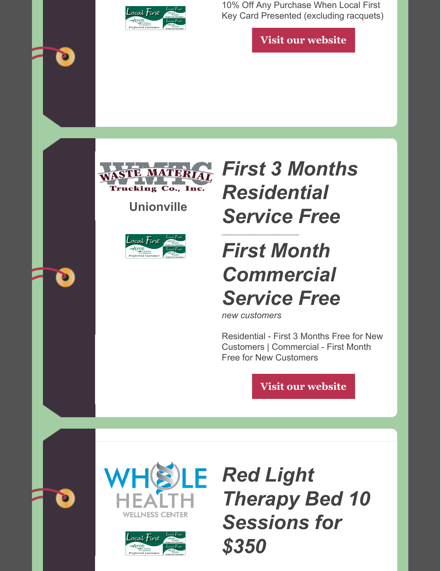

10% Off Any Purchase When Local First Key Card Presented (excluding racquets)

**Visit our [website](https://www.valleyracquet.com/)**



**Unionville**



### *First 3 Months Residential Service Free*

## *First Month Commercial Service Free*

*new customers*

------------------------------------------

Residential - First 3 Months Free for New Customers | Commercial - First Month Free for New Customers

**Visit our [website](https://www.wastematerialtrucking.com/)**





*Therapy Bed 10 Sessions for \$350*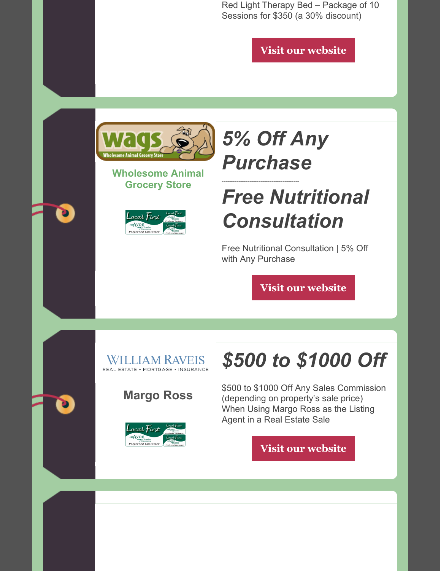Red Light Therapy Bed – Package of 10 Sessions for \$350 (a 30% discount)

**Visit our [website](https://www.wholehealthllc.com/)**



#### **Wholesome Animal Grocery Store**



### *5% Off Any Purchase*

------------------------------------------

### *Free Nutritional Consultation*

Free Nutritional Consultation | 5% Off with Any Purchase

**Visit our [website](https://wholesomeanimal.com/)**



#### **Margo Ross**



## *\$500 to \$1000 Off*

\$500 to \$1000 Off Any Sales Commission (depending on property's sale price) When Using Margo Ross as the Listing Agent in a Real Estate Sale